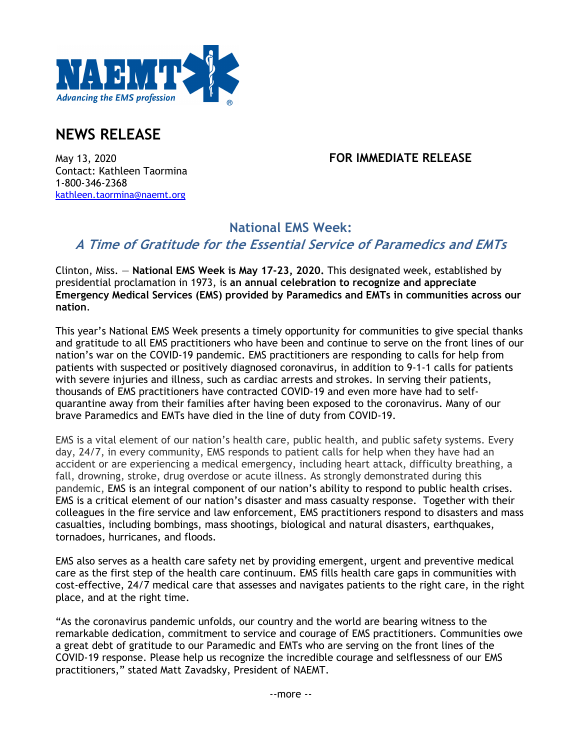

# **NEWS RELEASE**

#### May 13, 2020 **FOR IMMEDIATE RELEASE**

Contact: Kathleen Taormina 1-800-346-2368 kathleen.taormina@naemt.org

## **National EMS Week:**

## **A Time of Gratitude for the Essential Service of Paramedics and EMTs**

Clinton, Miss. — **National EMS Week is May 17-23, 2020.** This designated week, established by presidential proclamation in 1973, is **an annual celebration to recognize and appreciate Emergency Medical Services (EMS) provided by Paramedics and EMTs in communities across our nation**.

This year's National EMS Week presents a timely opportunity for communities to give special thanks and gratitude to all EMS practitioners who have been and continue to serve on the front lines of our nation's war on the COVID-19 pandemic. EMS practitioners are responding to calls for help from patients with suspected or positively diagnosed coronavirus, in addition to 9-1-1 calls for patients with severe injuries and illness, such as cardiac arrests and strokes. In serving their patients, thousands of EMS practitioners have contracted COVID-19 and even more have had to selfquarantine away from their families after having been exposed to the coronavirus. Many of our brave Paramedics and EMTs have died in the line of duty from COVID-19.

EMS is a vital element of our nation's health care, public health, and public safety systems. Every day, 24/7, in every community, EMS responds to patient calls for help when they have had an accident or are experiencing a medical emergency, including heart attack, difficulty breathing, a fall, drowning, stroke, drug overdose or acute illness. As strongly demonstrated during this pandemic, EMS is an integral component of our nation's ability to respond to public health crises. EMS is a critical element of our nation's disaster and mass casualty response. Together with their colleagues in the fire service and law enforcement, EMS practitioners respond to disasters and mass casualties, including bombings, mass shootings, biological and natural disasters, earthquakes, tornadoes, hurricanes, and floods.

EMS also serves as a health care safety net by providing emergent, urgent and preventive medical care as the first step of the health care continuum. EMS fills health care gaps in communities with cost-effective, 24/7 medical care that assesses and navigates patients to the right care, in the right place, and at the right time.

"As the coronavirus pandemic unfolds, our country and the world are bearing witness to the remarkable dedication, commitment to service and courage of EMS practitioners. Communities owe a great debt of gratitude to our Paramedic and EMTs who are serving on the front lines of the COVID-19 response. Please help us recognize the incredible courage and selflessness of our EMS practitioners," stated Matt Zavadsky, President of NAEMT.